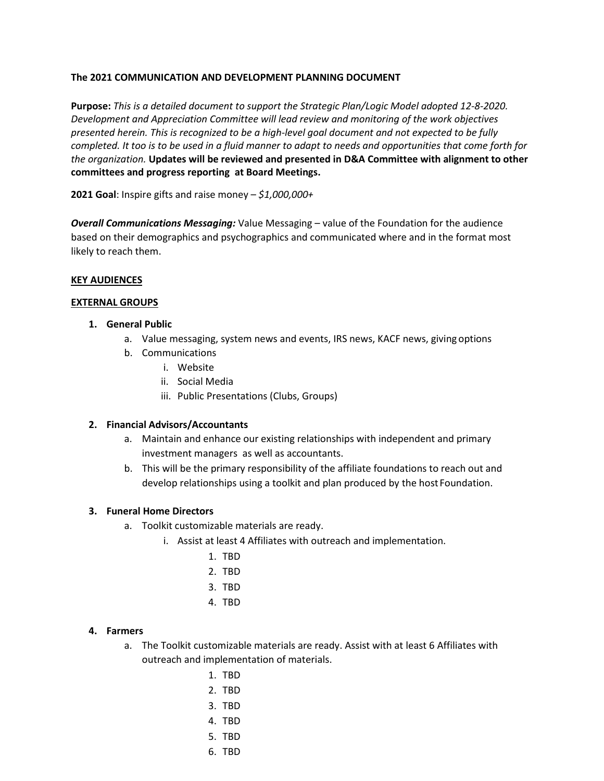### **The 2021 COMMUNICATION AND DEVELOPMENT PLANNING DOCUMENT**

**Purpose:** *This is a detailed document to support the Strategic Plan/Logic Model adopted 12-8-2020. Development and Appreciation Committee will lead review and monitoring of the work objectives presented herein. This is recognized to be a high-level goal document and not expected to be fully completed. It too is to be used in a fluid manner to adapt to needs and opportunities that come forth for the organization.* **Updates will be reviewed and presented in D&A Committee with alignment to other committees and progress reporting at Board Meetings.**

**2021 Goal**: Inspire gifts and raise money – *\$1,000,000+*

*Overall Communications Messaging:* Value Messaging – value of the Foundation for the audience based on their demographics and psychographics and communicated where and in the format most likely to reach them.

#### **KEY AUDIENCES**

#### **EXTERNAL GROUPS**

### **1. General Public**

- a. Value messaging, system news and events, IRS news, KACF news, giving options
- b. Communications
	- i. Website
	- ii. Social Media
	- iii. Public Presentations (Clubs, Groups)

#### **2. Financial Advisors/Accountants**

- a. Maintain and enhance our existing relationships with independent and primary investment managers as well as accountants.
- b. This will be the primary responsibility of the affiliate foundations to reach out and develop relationships using a toolkit and plan produced by the host Foundation.

### **3. Funeral Home Directors**

- a. Toolkit customizable materials are ready.
	- i. Assist at least 4 Affiliates with outreach and implementation.
		- 1. TBD
		- 2. TBD
		- 3. TBD
		- 4. TBD

### **4. Farmers**

- a. The Toolkit customizable materials are ready. Assist with at least 6 Affiliates with outreach and implementation of materials.
	- 1. TBD
	- 2. TBD
	- 3. TBD
	- 4. TBD
	- 5. TBD
	- 6. TBD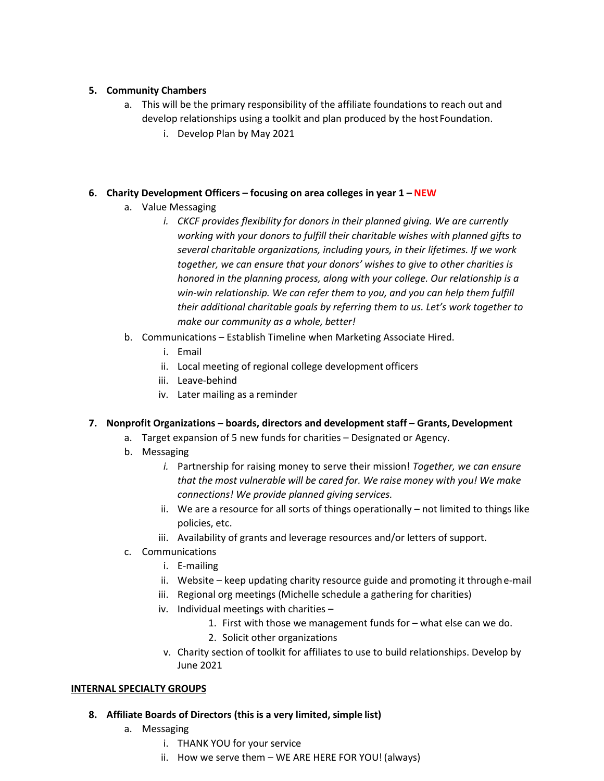# **5. Community Chambers**

- a. This will be the primary responsibility of the affiliate foundations to reach out and develop relationships using a toolkit and plan produced by the host Foundation.
	- i. Develop Plan by May 2021

### **6. Charity Development Officers – focusing on area colleges in year 1 – NEW**

- a. Value Messaging
	- *i.* CKCF provides flexibility for donors in their planned giving. We are currently *working with your donors to fulfill their charitable wishes with planned gifts to several charitable organizations, including yours, in their lifetimes. If we work together, we can ensure that your donors' wishes to give to other charities is honored in the planning process, along with your college. Our relationship is a win-win relationship. We can refer them to you, and you can help them fulfill their additional charitable goals by referring them to us. Let's work together to make our community as a whole, better!*
- b. Communications Establish Timeline when Marketing Associate Hired.
	- i. Email
	- ii. Local meeting of regional college development officers
	- iii. Leave-behind
	- iv. Later mailing as a reminder

# **7. Nonprofit Organizations – boards, directors and development staff – Grants,Development**

- a. Target expansion of 5 new funds for charities Designated or Agency.
- b. Messaging
	- *i.* Partnership for raising money to serve their mission! *Together, we can ensure that the most vulnerable will be cared for. We raise money with you! We make connections! We provide planned giving services.*
	- ii. We are a resource for all sorts of things operationally not limited to things like policies, etc.
	- iii. Availability of grants and leverage resources and/or letters of support.
- c. Communications
	- i. E-mailing
	- ii. Website keep updating charity resource guide and promoting it through e-mail
	- iii. Regional org meetings (Michelle schedule a gathering for charities)
	- iv. Individual meetings with charities
		- 1. First with those we management funds for what else can we do.
		- 2. Solicit other organizations
	- v. Charity section of toolkit for affiliates to use to build relationships. Develop by June 2021

### **INTERNAL SPECIALTY GROUPS**

- **8. Affiliate Boards of Directors (this is a very limited, simple list)**
	- a. Messaging
		- i. THANK YOU for your service
		- ii. How we serve them WE ARE HERE FOR YOU! (always)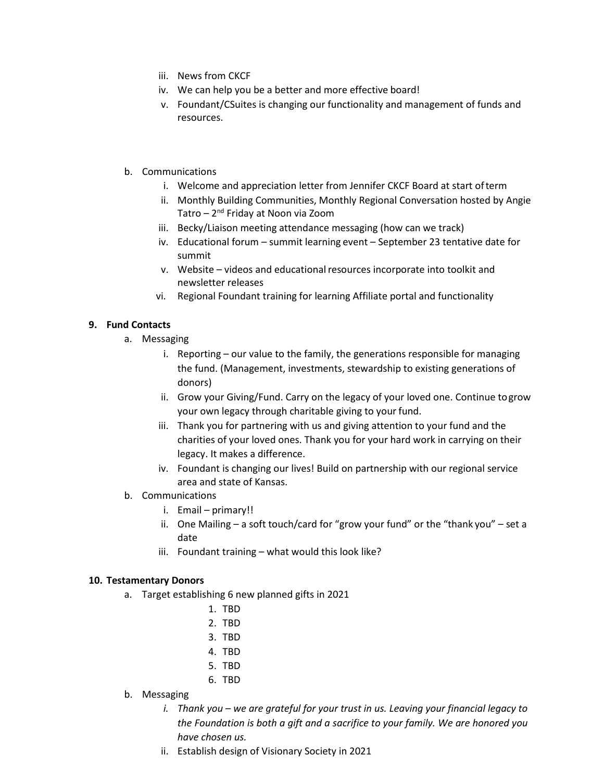- iii. News from CKCF
- iv. We can help you be a better and more effective board!
- v. Foundant/CSuites is changing our functionality and management of funds and resources.
- b. Communications
	- i. Welcome and appreciation letter from Jennifer CKCF Board at start ofterm
	- ii. Monthly Building Communities, Monthly Regional Conversation hosted by Angie Tatro – 2nd Friday at Noon via Zoom
	- iii. Becky/Liaison meeting attendance messaging (how can we track)
	- iv. Educational forum summit learning event September 23 tentative date for summit
	- v. Website videos and educational resources incorporate into toolkit and newsletter releases
	- vi. Regional Foundant training for learning Affiliate portal and functionality

# **9. Fund Contacts**

- a. Messaging
	- i. Reporting our value to the family, the generations responsible for managing the fund. (Management, investments, stewardship to existing generations of donors)
	- ii. Grow your Giving/Fund. Carry on the legacy of your loved one. Continue togrow your own legacy through charitable giving to your fund.
	- iii. Thank you for partnering with us and giving attention to your fund and the charities of your loved ones. Thank you for your hard work in carrying on their legacy. It makes a difference.
	- iv. Foundant is changing our lives! Build on partnership with our regional service area and state of Kansas.
- b. Communications
	- i. Email primary!!
	- ii. One Mailing a soft touch/card for "grow your fund" or the "thank you" set a date
	- iii. Foundant training what would this look like?

### **10. Testamentary Donors**

- a. Target establishing 6 new planned gifts in 2021
	- 1. TBD
	- 2. TBD
	- 3. TBD
	- 4. TBD
	- 5. TBD
	- 6. TBD
- b. Messaging
	- *i. Thank you – we are grateful for your trust in us. Leaving your financial legacy to the Foundation is both a gift and a sacrifice to your family. We are honored you have chosen us.*
	- ii. Establish design of Visionary Society in 2021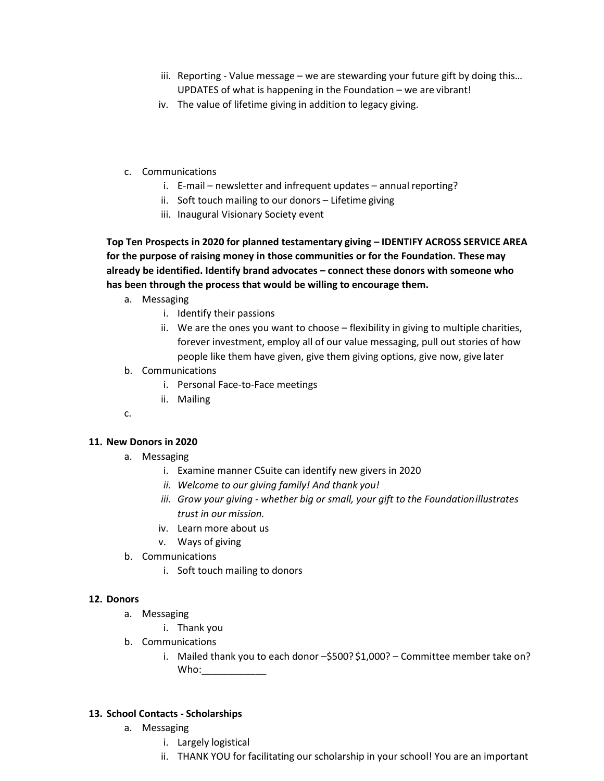- iii. Reporting Value message we are stewarding your future gift by doing this… UPDATES of what is happening in the Foundation – we are vibrant!
- iv. The value of lifetime giving in addition to legacy giving.
- c. Communications
	- i. E-mail newsletter and infrequent updates annual reporting?
	- ii. Soft touch mailing to our donors Lifetime giving
	- iii. Inaugural Visionary Society event

**Top Ten Prospects in 2020 for planned testamentary giving – IDENTIFY ACROSS SERVICE AREA for the purpose of raising money in those communities or for the Foundation. Thesemay already be identified. Identify brand advocates – connect these donors with someone who has been through the process that would be willing to encourage them.**

- a. Messaging
	- i. Identify their passions
	- ii. We are the ones you want to choose flexibility in giving to multiple charities, forever investment, employ all of our value messaging, pull out stories of how people like them have given, give them giving options, give now, give later
- b. Communications
	- i. Personal Face-to-Face meetings
	- ii. Mailing
- c.

### **11. New Donors in 2020**

- a. Messaging
	- i. Examine manner CSuite can identify new givers in 2020
	- *ii. Welcome to our giving family! And thank you!*
	- *iii. Grow your giving - whether big or small, your gift to the Foundationillustrates trust in our mission.*
	- iv. Learn more about us
	- v. Ways of giving
- b. Communications
	- i. Soft touch mailing to donors

### **12. Donors**

- a. Messaging
	- i. Thank you
- b. Communications
	- i. Mailed thank you to each donor -\$500? \$1,000? Committee member take on? Who:\_\_\_\_\_\_\_\_\_\_\_\_

### **13. School Contacts - Scholarships**

- a. Messaging
	- i. Largely logistical
	- ii. THANK YOU for facilitating our scholarship in your school! You are an important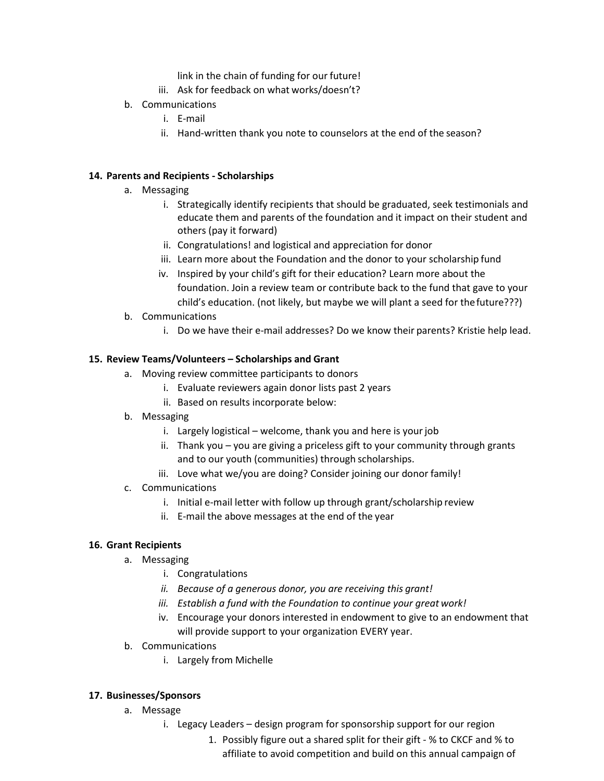link in the chain of funding for our future!

- iii. Ask for feedback on what works/doesn't?
- b. Communications
	- i. E-mail
	- ii. Hand-written thank you note to counselors at the end of the season?

### **14. Parents and Recipients - Scholarships**

- a. Messaging
	- i. Strategically identify recipients that should be graduated, seek testimonials and educate them and parents of the foundation and it impact on their student and others (pay it forward)
	- ii. Congratulations! and logistical and appreciation for donor
	- iii. Learn more about the Foundation and the donor to your scholarship fund
	- iv. Inspired by your child's gift for their education? Learn more about the foundation. Join a review team or contribute back to the fund that gave to your child's education. (not likely, but maybe we will plant a seed for thefuture???)
- b. Communications
	- i. Do we have their e-mail addresses? Do we know their parents? Kristie help lead.

# **15. Review Teams/Volunteers – Scholarships and Grant**

- a. Moving review committee participants to donors
	- i. Evaluate reviewers again donor lists past 2 years
	- ii. Based on results incorporate below:
- b. Messaging
	- i. Largely logistical welcome, thank you and here is your job
	- ii. Thank you you are giving a priceless gift to your community through grants and to our youth (communities) through scholarships.
	- iii. Love what we/you are doing? Consider joining our donor family!
- c. Communications
	- i. Initial e-mail letter with follow up through grant/scholarship review
	- ii. E-mail the above messages at the end of the year

# **16. Grant Recipients**

- a. Messaging
	- i. Congratulations
	- *ii. Because of a generous donor, you are receiving this grant!*
	- *iii. Establish a fund with the Foundation to continue your great work!*
	- iv. Encourage your donors interested in endowment to give to an endowment that will provide support to your organization EVERY year.
- b. Communications
	- i. Largely from Michelle

# **17. Businesses/Sponsors**

- a. Message
	- i. Legacy Leaders design program for sponsorship support for our region
		- 1. Possibly figure out a shared split for their gift % to CKCF and % to affiliate to avoid competition and build on this annual campaign of